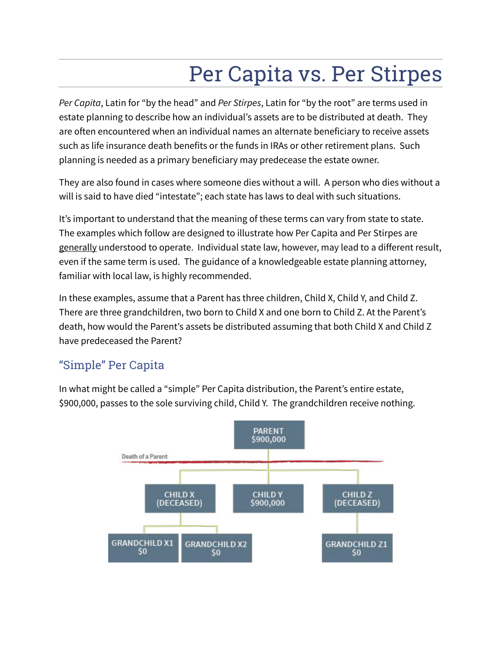# Per Capita vs. Per Stirpes

*Per Capita*, Latin for "by the head" and *Per Stirpes*, Latin for "by the root" are terms used in estate planning to describe how an individual's assets are to be distributed at death. They are often encountered when an individual names an alternate beneficiary to receive assets such as life insurance death benefits or the funds in IRAs or other retirement plans. Such planning is needed as a primary beneficiary may predecease the estate owner.

They are also found in cases where someone dies without a will. A person who dies without a will is said to have died "intestate"; each state has laws to deal with such situations.

It's important to understand that the meaning of these terms can vary from state to state. The examples which follow are designed to illustrate how Per Capita and Per Stirpes are generally understood to operate. Individual state law, however, may lead to a different result, even if the same term is used. The guidance of a knowledgeable estate planning attorney, familiar with local law, is highly recommended.

In these examples, assume that a Parent has three children, Child X, Child Y, and Child Z. There are three grandchildren, two born to Child X and one born to Child Z. At the Parent's death, how would the Parent's assets be distributed assuming that both Child X and Child Z have predeceased the Parent?

# "Simple" Per Capita

In what might be called a "simple" Per Capita distribution, the Parent's entire estate, \$900,000, passes to the sole surviving child, Child Y. The grandchildren receive nothing.

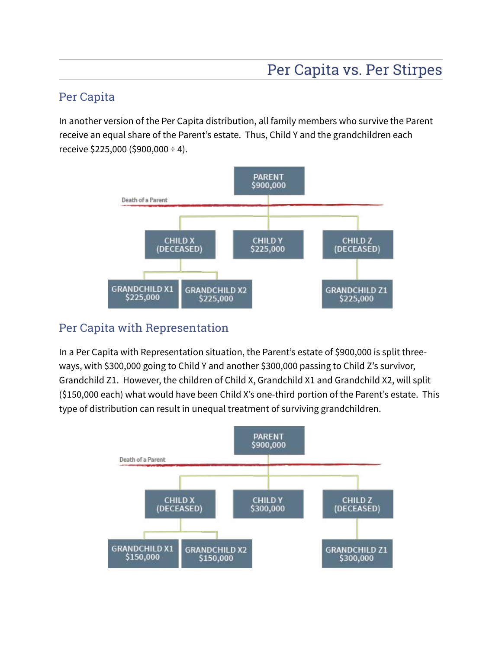# Per Capita

In another version of the Per Capita distribution, all family members who survive the Parent receive an equal share of the Parent's estate. Thus, Child Y and the grandchildren each receive  $$225,000$  ( $$900,000 \div 4$ ).



# Per Capita with Representation

In a Per Capita with Representation situation, the Parent's estate of \$900,000 is split threeways, with \$300,000 going to Child Y and another \$300,000 passing to Child Z's survivor, Grandchild Z1. However, the children of Child X, Grandchild X1 and Grandchild X2, will split (\$150,000 each) what would have been Child X's one-third portion of the Parent's estate. This type of distribution can result in unequal treatment of surviving grandchildren.

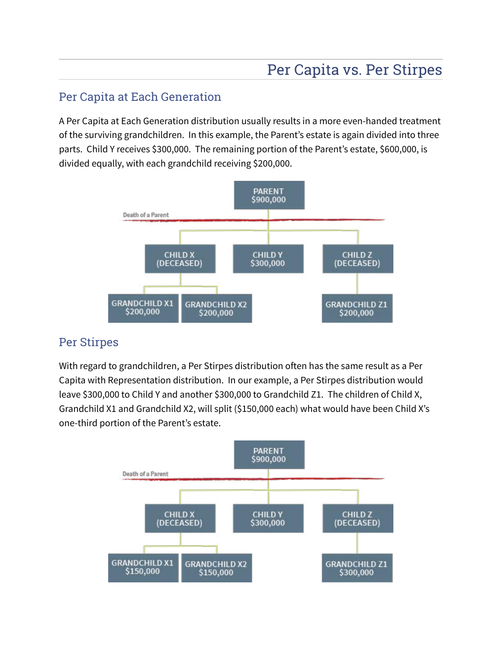### Per Capita at Each Generation

A Per Capita at Each Generation distribution usually results in a more even-handed treatment of the surviving grandchildren. In this example, the Parent's estate is again divided into three parts. Child Y receives \$300,000. The remaining portion of the Parent's estate, \$600,000, is divided equally, with each grandchild receiving \$200,000.



#### Per Stirpes

With regard to grandchildren, a Per Stirpes distribution often has the same result as a Per Capita with Representation distribution. In our example, a Per Stirpes distribution would leave \$300,000 to Child Y and another \$300,000 to Grandchild Z1. The children of Child X, Grandchild X1 and Grandchild X2, will split (\$150,000 each) what would have been Child X's one-third portion of the Parent's estate.